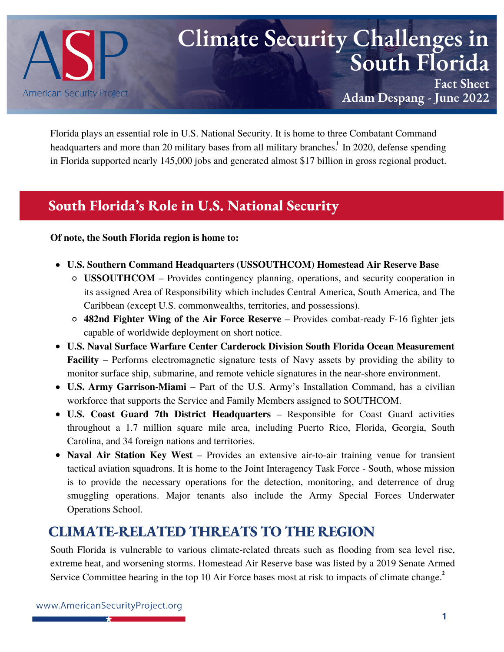

# **Climate Security Challenges in South Florida**

**Fact Sheet Adam Despang - June 2022**

Florida plays an essential role in U.S. National Security. It is home to three Combatant Command headquarters and more than 20 military bases from all military branches.<sup>1</sup> In 2020, defense spending in Florida supported nearly 145,000 jobs and generated almost \$17 billion in gross regional product.

## **South Florida's Role in U.S. National Security**

**Of note, the South Florida region is home to:**

- **U.S. Southern Command Headquarters (USSOUTHCOM) Homestead Air Reserve Base**
	- **USSOUTHCOM** Provides contingency planning, operations, and security cooperation in its assigned Area of Responsibility which includes Central America, South America, and The Caribbean (except U.S. commonwealths, territories, and possessions).
	- **482nd Fighter Wing of the Air Force Reserve** Provides combat-ready F-16 fighter jets capable of worldwide deployment on short notice.
- **U.S. Naval Surface Warfare Center Carderock Division South Florida Ocean Measurement Facility** – Performs electromagnetic signature tests of Navy assets by providing the ability to monitor surface ship, submarine, and remote vehicle signatures in the near-shore environment.
- **U.S. Army Garrison-Miami** Part of the U.S. Army's Installation Command, has a civilian workforce that supports the Service and Family Members assigned to SOUTHCOM.
- **U.S. Coast Guard 7th District Headquarters** Responsible for Coast Guard activities throughout a 1.7 million square mile area, including Puerto Rico, Florida, Georgia, South Carolina, and 34 foreign nations and territories.
- **Naval Air Station Key West** Provides an extensive air-to-air training venue for transient tactical aviation squadrons. It is home to the Joint Interagency Task Force - South, whose mission is to provide the necessary operations for the detection, monitoring, and deterrence of drug smuggling operations. Major tenants also include the Army Special Forces Underwater Operations School.

# **CLIMATE-RELATED THREATS TO THE REGION**

South Florida is vulnerable to various climate-related threats such as flooding from sea level rise, extreme heat, and worsening storms. Homestead Air Reserve base was listed by a 2019 Senate Armed Service Committee hearing in the top 10 Air [Force](https://climateandsecurity.files.wordpress.com/2019/06/air-force-input-10-installations-most-impacted-by-climate-change-1.pdf) bases most at risk to impacts of climate change. **2**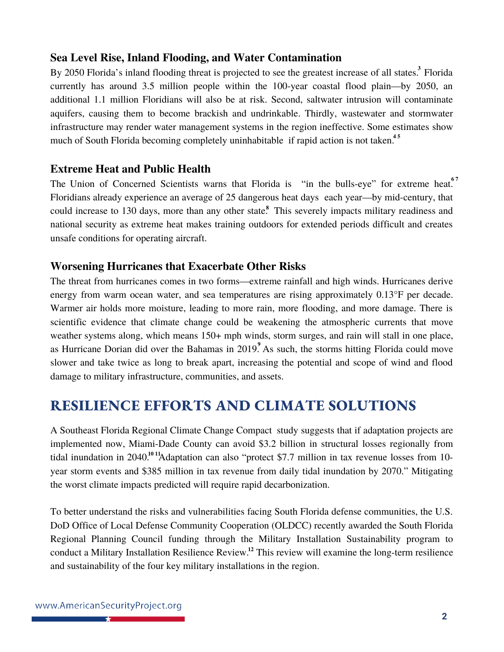#### **Sea Level Rise, Inland Flooding, and Water Contamination**

By 2050 Florida's inland flooding threat is projected to see the greatest [increase](http://assets.statesatrisk.org/summaries/Florida_report.pdf) of all states.<sup>3</sup> Florida currently has around 3.5 million people within the 100-year coastal flood plain—by 2050, an additional 1.1 million Floridians will also be at risk. Second, saltwater intrusion will contaminate aquifers, causing them to become brackish and undrinkable. Thirdly, wastewater and stormwater infrastructure may render water management systems in the region ineffective. Some [estimates](https://www.theguardian.com/environment/2018/jun/26/rising-seas-florida-climate-change-elizabeth-rush?msclkid=ea983629d00a11ecadaf2e5bd91a400a) show much of South Florida becoming completely [uninhabitable](https://coast.noaa.gov/slr/#/layer/slr/7/-9099228.483166033/3017454.040013069/13/satellite/41/0.8/2100/high/midAccretion) if rapid action is not taken.<sup>45</sup>

#### **Extreme Heat and Public Health**

The Union of [Concerned](mailto:https://ucsusa.org/sites/default/files/2021-08/Too%20Hot%20to%20Work_8-13.pdf) Scientists warns that Florida is "in the [bulls-eye"](mailto:https://floridaphoenix.com/2021/09/03/scientific-report-warns-of-climate-induced-extreme-heat-florida-is-in-the-bullseye/) for extreme heat.<sup>67</sup> Floridians already experience an average of 25 [dangerous](https://ucsusa.maps.arcgis.com/apps/MapSeries/index.html?appid=e4e9082a1ec343c794d27f3e12dd006d&entry=6) heat days each year—by mid-century, that could increase to 130 days, more than any other state.<sup>8</sup> This severely impacts military readiness and national security as extreme heat makes training outdoors for extended periods difficult and creates unsafe conditions for operating aircraft.

#### **Worsening Hurricanes that Exacerbate Other Risks**

The threat from hurricanes comes in two forms—extreme rainfall and high winds. Hurricanes derive energy from warm ocean water, and sea temperatures are rising approximately 0.13°F per decade. Warmer air holds more moisture, leading to more rain, more flooding, and more damage. There is scientific evidence that climate change could be weakening the [atmospheric](https://www.americansecurityproject.org/perspective-national-security-implications-of-climate-change-in-florida/) currents that move weather systems along, which means 150+ mph winds, storm surges, and rain will stall in one place, as Hurricane Dorian did over the Bahamas in 2019. As such, the storms hitting Florida could move **9** slower and take twice as long to break apart, increasing the potential and scope of wind and flood damage to military infrastructure, communities, and assets.

# **RESILIENCE EFFORTS AND CLIMATE SOLUTIONS**

A Southeast Florida Regional Climate [Change Compact](https://southeastfloridaclimatecompact.org/wp-content/uploads/2020/10/The-Business-Case-for-Resilience-in-Southeast-Florida_reduced.pdf) study suggests that if adaptation projects are implemented now, Miami-Dade County can avoid \$3.2 [billion](https://www.miamidade.gov/global/economy/resilience/sea-level-rise-flooding.page) in structural losses regionally from tidal inundation in 2040.<sup>1011</sup> Adaptation can also "protect \$7.7 million in tax revenue losses from 10year storm events and \$385 million in tax revenue from daily tidal inundation by 2070.["](mailto:https://floridaphoenix.com/2021/09/03/scientific-report-warns-of-climate-induced-extreme-heat-florida-is-in-the-bullseye/) Mitigating the worst climate impacts predicted will require rapid decarbonization.

To better understand the risks and vulnerabilities facing South Florida defense communities, the U.S. DoD Office of Local Defense Community Cooperation (OLDCC) recently awarded the South Florida Regional Planning Council funding through the Military [Installation Sustainability program](https://sfregionalcouncil.org/south-florida-military-installation-resilience-review/) to conduct a Military Installation Resilience Review.<sup>12</sup> This review will examine the long-term resilience and sustainability of the four key military installations in the region.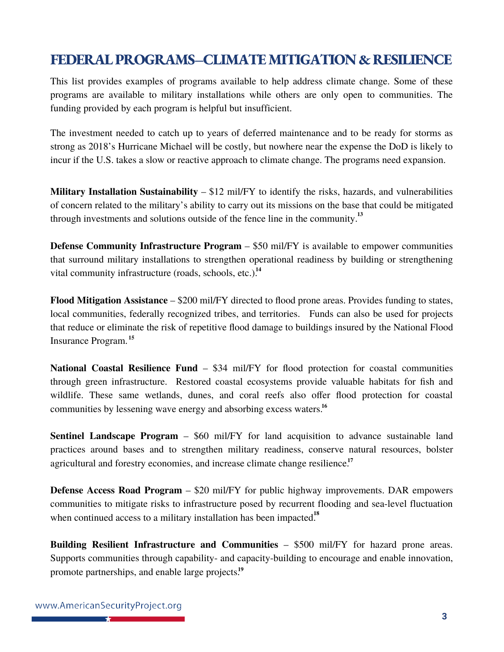# **FEDERALPROGRAMS–CLIMATEMITIGATION & RESILIENCE**

This list provides examples of programs available to help address climate change. Some of these programs are available to military installations while others are only open to communities. The funding provided by each program is helpful but insufficient.

The investment needed to catch up to years of deferred maintenance and to be ready for storms as strong as 2018's Hurricane Michael will be costly, but nowhere near the expense the DoD is likely to incur if the U.S. takes a slow or reactive approach to climate change. The programs need expansion.

**Military Installation Sustainability** – \$12 mil/FY to identify the risks, hazards, and vulnerabilities of concern related to the military's ability to carry out its missions on the base that could be mitigated through investments and solutions outside of the fence line in the community. **13**

**Defense Community Infrastructure Program** – \$50 mil/FY is available to empower communities that surround military installations to strengthen operational readiness by building or strengthening vital community infrastructure (roads, schools, etc.). **14**

**Flood Mitigation Assistance** – \$200 mil/FY directed to flood prone areas. Provides funding to states, local communities, federally recognized tribes, and territories. Funds can also be used for projects that reduce or eliminate the risk of repetitive flood damage to buildings insured by the National Flood Insurance Program. **15**

**National Coastal Resilience Fund** – \$34 mil/FY for flood protection for coastal communities through green infrastructure. Restored coastal ecosystems provide valuable habitats for fish and wildlife. These same wetlands, dunes, and coral reefs also offer flood protection for coastal communities by lessening wave energy and absorbing excess waters. **16**

**Sentinel Landscape Program** – \$60 mil/FY for land acquisition to advance sustainable land practices around bases and to strengthen military readiness, conserve natural resources, bolster agricultural and forestry economies, and increase climate change resilience. **17**

**Defense Access Road Program** – \$20 mil/FY for public highway improvements. DAR empowers communities to mitigate risks to infrastructure posed by recurrent flooding and sea-level fluctuation when continued access to a military installation has been impacted.<sup>18</sup>

**Building Resilient Infrastructure and Communities** – \$500 mil/FY for hazard prone areas. Supports communities through capability- and capacity-building to encourage and enable innovation, promote partnerships, and enable large projects. **19**